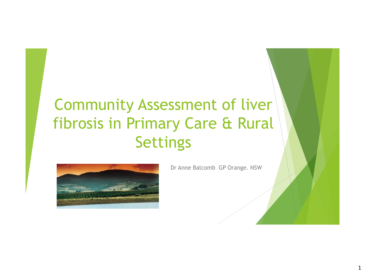# Community Assessment of liver fibrosis in Primary Care & Rural Settings



Dr Anne Balcomb GP Orange. NSW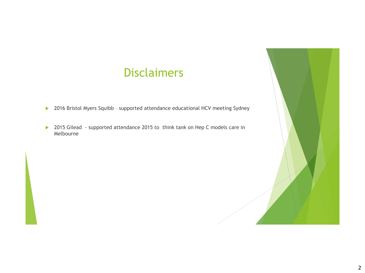### Disclaimers

- ▶ 2016 Bristol Myers Squibb supported attendance educational HCV meeting Sydney
- ▶ 2015 Gilead supported attendance 2015 to think tank on Hep C models care in Melbourne

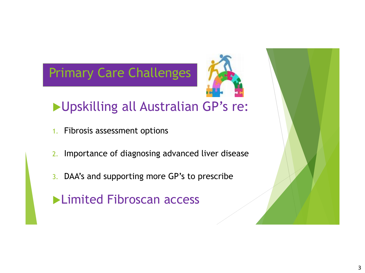# Primary Care Challenges



# **Diposition Australian GP's re:**

- 1. Fibrosis assessment options
- 2. Importance of diagnosing advanced liver disease
- 3. DAA's and supporting more GP's to prescribe
- **Limited Fibroscan access**

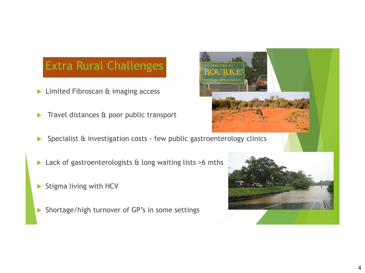## Extra Rural Challenges

- **Limited Fibroscan & imaging access**
- Travel distances & poor public transport
- Specialist & investigation costs few public gastroenterology clinics
- ▶ Lack of gastroenterologists & long waiting lists >6 mths
- Stigma living with HCV
- Shortage/high turnover of GP's in some settings



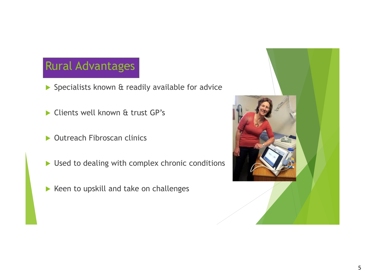## Rural Advantages

- ▶ Specialists known & readily available for advice
- Clients well known & trust GP's
- ▶ Outreach Fibroscan clinics
- Used to dealing with complex chronic conditions
- $\blacktriangleright$  Keen to upskill and take on challenges

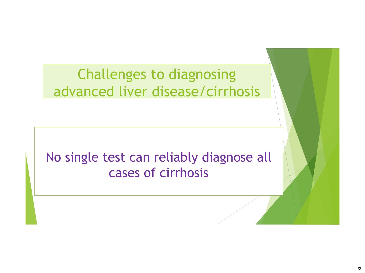# Challenges to diagnosing advanced liver disease/cirrhosis

# No single test can reliably diagnose all cases of cirrhosis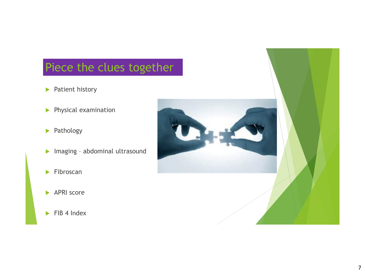## Piece the clues together

- **Patient history**
- **Physical examination**
- **Pathology**
- Imaging abdominal ultrasound
- $\blacktriangleright$  Fibroscan
- APRI score
- $\blacktriangleright$  FIB 4 Index

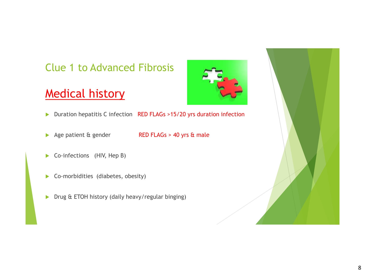#### Clue 1 to Advanced Fibrosis

## Medical history

- 
- ▶ Duration hepatitis C infection RED FLAGs >15/20 yrs duration infection
- Age patient & gender RED FLAGs > 40 yrs & male
- 
- Co-infections (HIV, Hep B)
- ▶ Co-morbidities (diabetes, obesity)
- $\triangleright$  Drug & ETOH history (daily heavy/regular binging)

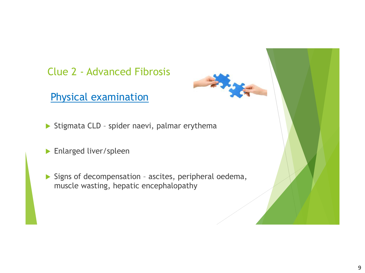#### Clue 2 - Advanced Fibrosis

Physical examination

Stigmata CLD - spider naevi, palmar erythema

- **Enlarged liver/spleen**
- $\triangleright$  Signs of decompensation ascites, peripheral oedema, muscle wasting, hepatic encephalopathy

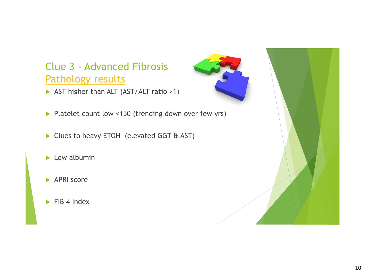### Clue 3 - Advanced Fibrosis Pathology results

- AST higher than ALT (AST/ALT ratio >1)
- Platelet count low <150 (trending down over few yrs)
- Clues to heavy ETOH (elevated GGT & AST)
- $\blacktriangleright$  Low albumin
- APRI score
- $\blacktriangleright$  FIB 4 Index

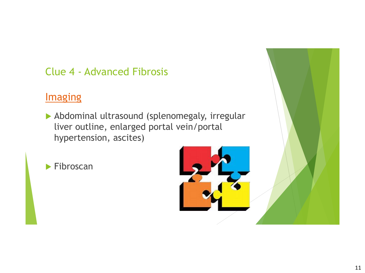### Clue 4 - Advanced Fibrosis

### **Imaging**

 Abdominal ultrasound (splenomegaly, irregular liver outline, enlarged portal vein/portal hypertension, ascites)

▶ Fibroscan

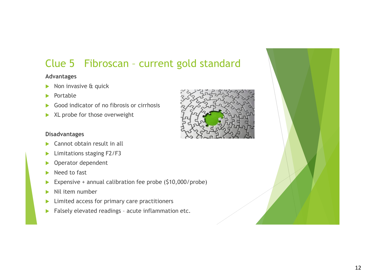### Clue 5 Fibroscan – current gold standard

#### **Advantages**

- $\triangleright$  Non invasive & quick
- $\blacktriangleright$  Portable
- $\triangleright$  Good indicator of no fibrosis or cirrhosis
- $\blacktriangleright$  XL probe for those overweight

#### **Disadvantages**

- ▶ Cannot obtain result in all
- **Limitations staging F2/F3**
- **Derator dependent**
- Need to fast
- Expensive + annual calibration fee probe (\$10,000/probe)
- $\blacktriangleright$  Nil item number
- $\blacktriangleright$  Limited access for primary care practitioners
- $\blacktriangleright$  Falsely elevated readings acute inflammation etc.

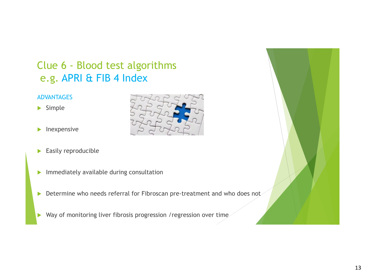### Clue 6 - Blood test algorithms e.g. APRI & FIB 4 Index

#### ADVANTAGES

- $\blacktriangleright$  Simple
- $\blacktriangleright$  Inexpensive
- Easily reproducible
- $\blacktriangleright$  Immediately available during consultation
- Determine who needs referral for Fibroscan pre-treatment and who does not
- Way of monitoring liver fibrosis progression / regression over time



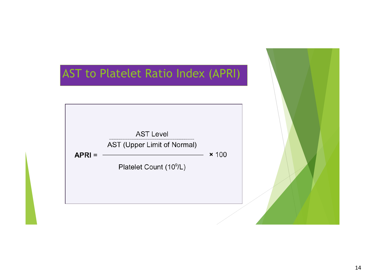

#### 14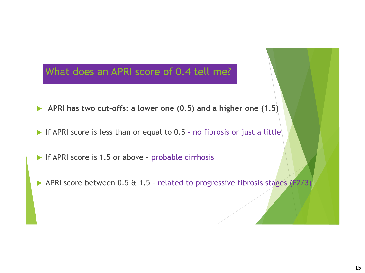#### What does an APRI score of 0.4 tell me?

- **APRI has two cut-offs: a lower one (0.5) and a higher one (1.5)**
- If APRI score is less than or equal to  $0.5$  no fibrosis or just a little
- If APRI score is 1.5 or above probable cirrhosis
- APRI score between 0.5 & 1.5 related to progressive fibrosis stages (F2/3)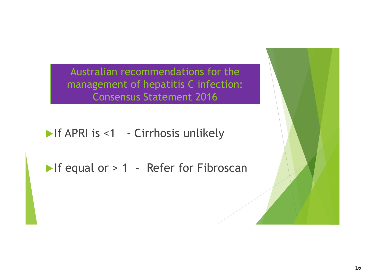Australian recommendations for the management of hepatitis C infection: Consensus Statement 2016

If APRI is <1 - Cirrhosis unlikely

If equal or > 1 - Refer for Fibroscan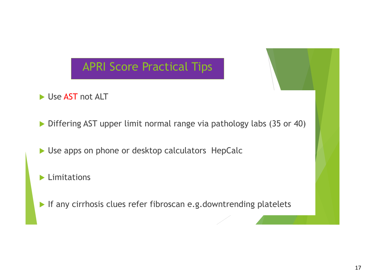## APRI Score Practical Tips

- Use AST not ALT
- Differing AST upper limit normal range via pathology labs (35 or 40)
- ▶ Use apps on phone or desktop calculators HepCalc
- **Limitations**
- If any cirrhosis clues refer fibroscan e.g.downtrending platelets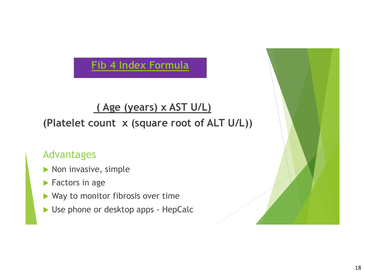### **Fib 4 Index Formula**

### **( Age (years) x AST U/L)**

### **(Platelet count x (square root of ALT U/L))**

#### Advantages

- $\blacktriangleright$  Non invasive, simple
- **Factors in age**
- ▶ Way to monitor fibrosis over time
- ▶ Use phone or desktop apps HepCalc

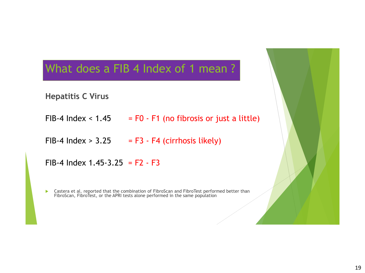### What does a FIB 4 Index of 1 mean?

**Hepatitis C Virus** 

- FIB-4 Index  $\leq$  1.45 = F0 F1 (no fibrosis or just a little)
- FIB-4 Index  $> 3.25$  = F3 F4 (cirrhosis likely)

FIB-4 Index 1.45-3.25 =  $F2 - F3$ 

 Castera et al. reported that the combination of FibroScan and FibroTest performed better than FibroScan, FibroTest, or the APRI tests alone performed in the same population

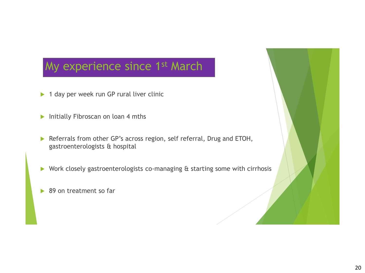## My experience since 1<sup>st</sup> March

- ▶ 1 day per week run GP rural liver clinic
- Initially Fibroscan on loan 4 mths
- Referrals from other GP's across region, self referral, Drug and ETOH, gastroenterologists & hospital
- ▶ Work closely gastroenterologists co-managing & starting some with cirrhosis
- ▶ 89 on treatment so far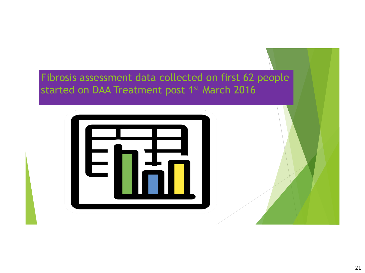Fibrosis assessment data collected on first 62 people started on DAA Treatment post 1<sup>st</sup> March 2016

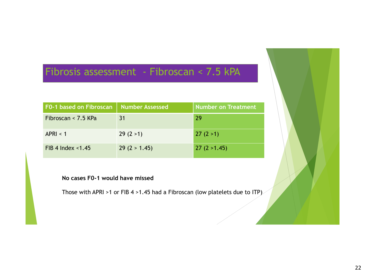#### Fibrosis assessment - Fibroscan < 7.5 kPA

| <b>F0-1 based on Fibroscan</b> | Number Assessed | Number on Treatment |
|--------------------------------|-----------------|---------------------|
| Fibroscan < 7.5 KPa            | 31              | 29                  |
| APRI < 1                       | 29(2>1)         | 27(2>1)             |
| $FIB$ 4 Index <1.45            | 29(2 > 1.45)    | 27(2 > 1.45)        |

#### **No cases F0-1 would have missed**

Those with APRI >1 or FIB 4 >1.45 had a Fibroscan (low platelets due to ITP)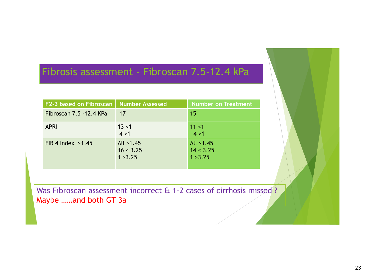#### Fibrosis assessment - Fibroscan 7.5-12.4 kPa

| F2-3 based on Fibroscan   Number Assessed |                                      | Number on Treatment                  |
|-------------------------------------------|--------------------------------------|--------------------------------------|
| Fibroscan 7.5 - 12.4 KPa                  | 17                                   | 15                                   |
| <b>APRI</b>                               | 13 < 1<br>4 > 1                      | 11 < 1<br>4 > 1                      |
| FIB 4 Index $>1.45$                       | All $>1.45$<br>16 < 3.25<br>1 > 3.25 | All $>1.45$<br>14 < 3.25<br>1 > 3.25 |

Was Fibroscan assessment incorrect & 1-2 cases of cirrhosis missed ? Maybe ……and both GT 3a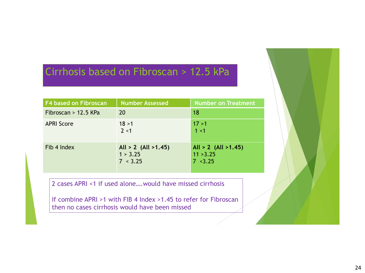### Cirrhosis based on Fibroscan > 12.5 kPa

| <b>F4 based on Fibroscan</b> | Number Assessed                                   | <b>Number on Treatment</b>                                |
|------------------------------|---------------------------------------------------|-----------------------------------------------------------|
| Fibroscan > $12.5$ KPa       | 20                                                | 18                                                        |
| <b>APRI Score</b>            | 18 > 1<br>2 < 1                                   | 17 > 1<br>1 < 1                                           |
| Fib 4 Index                  | All $> 2$ (All $> 1.45$ )<br>1 > 3.25<br>7 < 3.25 | All $> 2$ (All $> 1.45$ )<br>11 > 3.25<br>$7 \times 3.25$ |

2 cases APRI <1 if used alone….would have missed cirrhosis

If combine APRI >1 with FIB 4 Index >1.45 to refer for Fibroscan then no cases cirrhosis would have been missed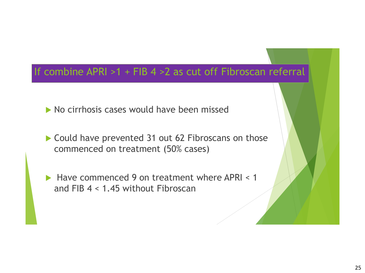### If combine APRI >1 + FIB 4 >2 as cut off Fibroscan referral

- $\triangleright$  No cirrhosis cases would have been missed
- ▶ Could have prevented 31 out 62 Fibroscans on those commenced on treatment (50% cases)
- $\blacktriangleright$  Have commenced 9 on treatment where APRI < 1 and FIB 4 < 1.45 without Fibroscan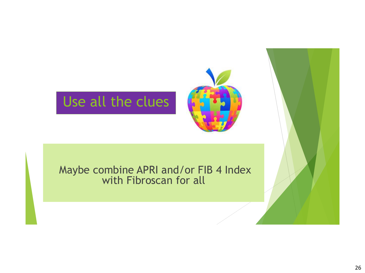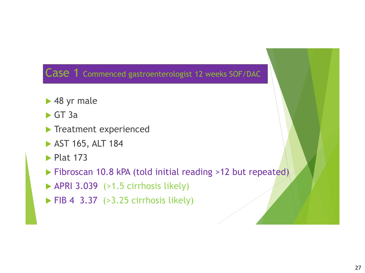#### Case 1 Commenced gastroenterologist 12 weeks SOF/DAC

- ▶ 48 yr male
- $\triangleright$  GT 3a
- **Treatment experienced**
- AST 165, ALT 184
- $\blacktriangleright$  Plat 173
- Fibroscan 10.8 kPA (told initial reading >12 but repeated)
- $\blacktriangleright$  APRI 3.039 (>1.5 cirrhosis likely)
- $\blacktriangleright$  FIB 4 3.37 (>3.25 cirrhosis likely)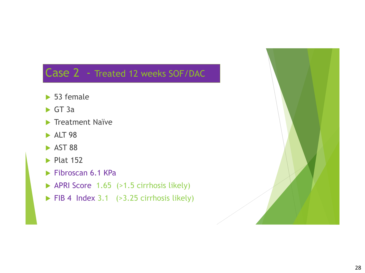### Case 2 - Treated 12 weeks SOF/DAC

- ▶ 53 female
- $\triangleright$  GT 3a
- **Treatment Naïve**
- $\blacktriangleright$  ALT 98
- $\blacktriangleright$  AST 88
- $\blacktriangleright$  Plat 152
- $\blacktriangleright$  Fibroscan 6.1 KPa
- APRI Score 1.65 (>1.5 cirrhosis likely)
- $\triangleright$  FIB 4 Index 3.1 (>3.25 cirrhosis likely)

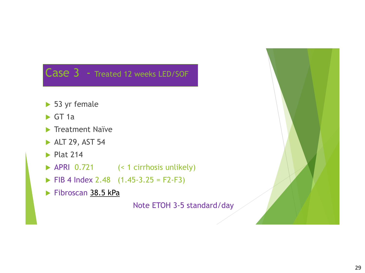### Case 3 - Treated 12 weeks LED/SOF

- ▶ 53 yr female
- $\triangleright$  GT 1a
- **Treatment Naïve**
- ALT 29, AST 54
- $\blacktriangleright$  Plat 214
- ▶ APRI 0.721 (< 1 cirrhosis unlikely)
- $\triangleright$  FIB 4 Index 2.48 (1.45-3.25 = F2-F3)
- Fibroscan 38.5 kPa

Note ETOH 3-5 standard/day

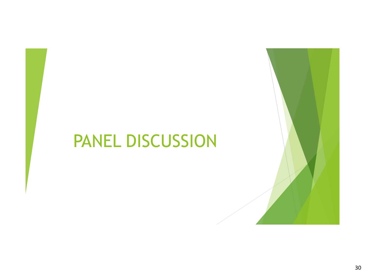# PANEL DISCUSSION